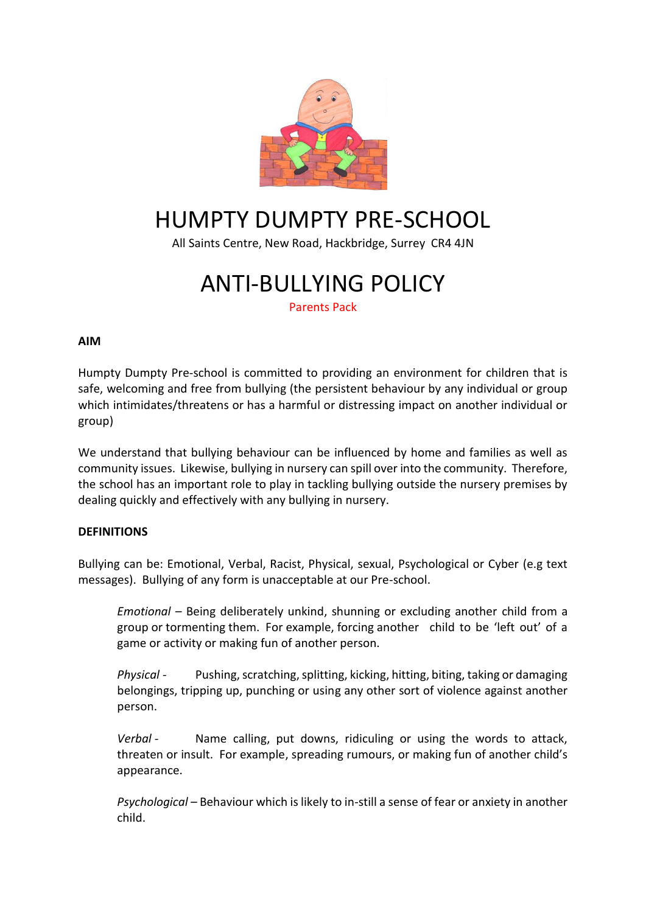

# HUMPTY DUMPTY PRE-SCHOOL

All Saints Centre, New Road, Hackbridge, Surrey CR4 4JN

## ANTI-BULLYING POLICY

Parents Pack

### **AIM**

Humpty Dumpty Pre-school is committed to providing an environment for children that is safe, welcoming and free from bullying (the persistent behaviour by any individual or group which intimidates/threatens or has a harmful or distressing impact on another individual or group)

We understand that bullying behaviour can be influenced by home and families as well as community issues. Likewise, bullying in nursery can spill over into the community. Therefore, the school has an important role to play in tackling bullying outside the nursery premises by dealing quickly and effectively with any bullying in nursery.

## **DEFINITIONS**

Bullying can be: Emotional, Verbal, Racist, Physical, sexual, Psychological or Cyber (e.g text messages). Bullying of any form is unacceptable at our Pre-school.

*Emotional –* Being deliberately unkind, shunning or excluding another child from a group or tormenting them. For example, forcing another child to be 'left out' of a game or activity or making fun of another person.

*Physical* - Pushing, scratching, splitting, kicking, hitting, biting, taking or damaging belongings, tripping up, punching or using any other sort of violence against another person.

*Verbal -* Name calling, put downs, ridiculing or using the words to attack, threaten or insult. For example, spreading rumours, or making fun of another child's appearance.

*Psychological –* Behaviour which is likely to in-still a sense of fear or anxiety in another child.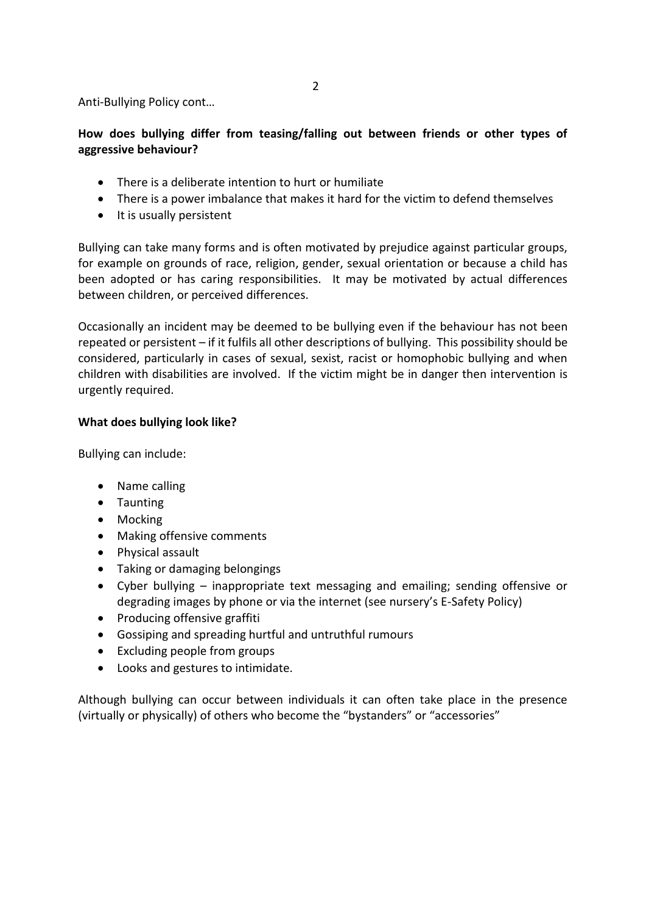Anti-Bullying Policy cont…

## **How does bullying differ from teasing/falling out between friends or other types of aggressive behaviour?**

- There is a deliberate intention to hurt or humiliate
- There is a power imbalance that makes it hard for the victim to defend themselves
- It is usually persistent

Bullying can take many forms and is often motivated by prejudice against particular groups, for example on grounds of race, religion, gender, sexual orientation or because a child has been adopted or has caring responsibilities. It may be motivated by actual differences between children, or perceived differences.

Occasionally an incident may be deemed to be bullying even if the behaviour has not been repeated or persistent – if it fulfils all other descriptions of bullying. This possibility should be considered, particularly in cases of sexual, sexist, racist or homophobic bullying and when children with disabilities are involved. If the victim might be in danger then intervention is urgently required.

#### **What does bullying look like?**

Bullying can include:

- Name calling
- Taunting
- Mocking
- Making offensive comments
- Physical assault
- Taking or damaging belongings
- Cyber bullying inappropriate text messaging and emailing; sending offensive or degrading images by phone or via the internet (see nursery's E-Safety Policy)
- Producing offensive graffiti
- Gossiping and spreading hurtful and untruthful rumours
- Excluding people from groups
- Looks and gestures to intimidate.

Although bullying can occur between individuals it can often take place in the presence (virtually or physically) of others who become the "bystanders" or "accessories"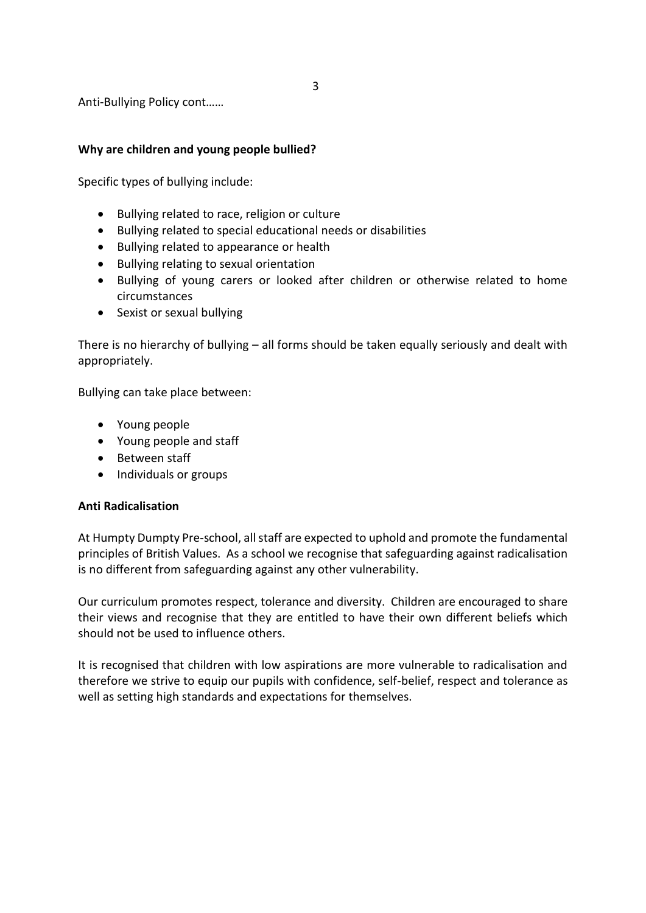3

Anti-Bullying Policy cont……

#### **Why are children and young people bullied?**

Specific types of bullying include:

- Bullying related to race, religion or culture
- Bullying related to special educational needs or disabilities
- Bullying related to appearance or health
- Bullying relating to sexual orientation
- Bullying of young carers or looked after children or otherwise related to home circumstances
- Sexist or sexual bullying

There is no hierarchy of bullying – all forms should be taken equally seriously and dealt with appropriately.

Bullying can take place between:

- Young people
- Young people and staff
- Between staff
- Individuals or groups

#### **Anti Radicalisation**

At Humpty Dumpty Pre-school, all staff are expected to uphold and promote the fundamental principles of British Values. As a school we recognise that safeguarding against radicalisation is no different from safeguarding against any other vulnerability.

Our curriculum promotes respect, tolerance and diversity. Children are encouraged to share their views and recognise that they are entitled to have their own different beliefs which should not be used to influence others.

It is recognised that children with low aspirations are more vulnerable to radicalisation and therefore we strive to equip our pupils with confidence, self-belief, respect and tolerance as well as setting high standards and expectations for themselves.